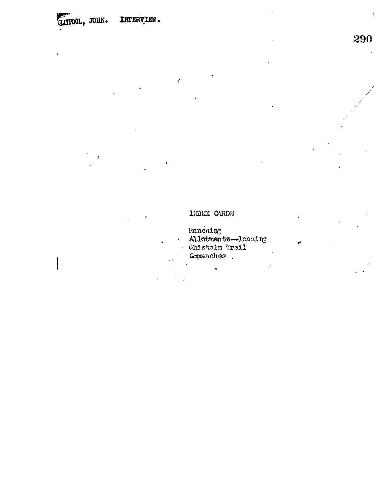## **MAYPOOL, JOHN. INFERVIEW.**

## INDEX CARDS

 $\mathcal{C}$ 

Ranching<br>Allotments--leasing<br>• Chisholm Trail Comanches

 $\ddot{\phantom{0}}$ 

 $\frac{1}{3}$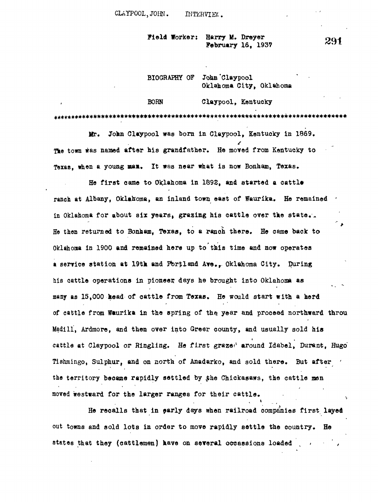**CLAYPOOL,JOHN. INTERVIEW.**

**Field Worker: Harry M. Dreyer February 16, 1937**

|  | BIOGRAPHY OF John Claypool |  |                         |
|--|----------------------------|--|-------------------------|
|  |                            |  | Oklahoma City, Oklahoma |

**BORN Claypool, Kentucky**

**Mr. John Claypool was born in Claypool, Kentucky in 1869. The town was named after his grandfather. He moved from Kentucky to Texas, when a young mai. It was near what is now Bonham, Texas.**

**He first came to Oklahoma in 1898, and started a cattle ranch at Albany, Oklahoma, an inland town east of Waurika. He remained**  in Oklahoma for about six years, grazing his cattle over the state.<sup>1</sup>. ் க **He then returned to Bonham, (Texas, to a ranch there. He came back to Oklahoma in 1900 and remained here up to this time and now operates & service station at 19th and Pfcr\$land Ave.r Oklahoma City. During his cattle operations in pioneer, days he brought into Oklahoma as many as 15,000 head of cattle from Texas. He would start with a herd of cattle from Waurika in the spring of the. year and proceed northward throu Madill, Ardmore, and then over into Greer county, and usually sold his cattle at Claypool or Ringling. He first grazer around Idabel, Durant, Hugo" Tishmingo, Sulphur, and on north of Anadarko, and sold there. But after '** the territory became rapidly settled by the Chickasaws, the cattle men moved westward for the larger ranges for their cattle.

**He recalls that in early days when railroad companies first layed out towns and sold lota in order to move rapidly settle the country. He** states that they (cattlemen) have on several occassions loaded

**1**

291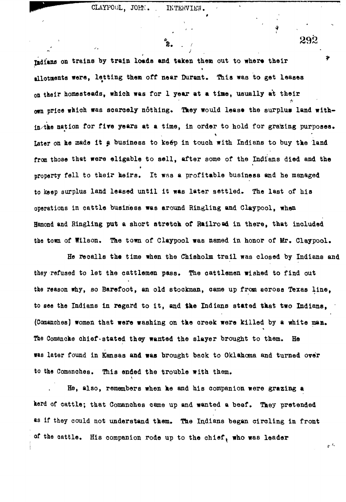Ŕ.

**ndians** on trains by train loads and taken them out to where their  $\frac{2}{3}$ allotments were, letting them off near Durant. This was to get leases on their homesteads, which was for 1 year at a time, usually at their **own price which was scarcely nothing. They would lease the surplus land with**in/the nation for five years at a time, in order to hold for grazing purposes. Later on he made it a business to keep in touch with Indians to buy the land from those that were eligable to sell, after some of the Indians died and the **property fell to their heirs. It was a profitable business and he managed to keep surplus land leased until it was late r settled . The last of his** operations in cattle business was around Ringling and Claypool, when **Hamond and Ringling put a short stretch of Railroad in there, that included the town of Wilson, The town of Claypool was named in honor of Mr, Claypool.**

He recalls the time when the Chisholm trail was closed by Indians and they refused to let the cattlemen pass. The cattlemen wished to find out **the reason why, so Barefoot, an old stockman, came up from across Texas line , to see the Indians in regard to it , and the Indians stated that two Indians, (Comaitches) women that were washing on the creek were killed by a white man.** The Comanche chief stated they wanted the slayer brought to them. He **was later found in Kansas and was brought back to Oklahoma and turned over to the Comanches. This ended the trouble with them.**

**He, also, remembers when he and his companion were grazing a herd of cattle; that Comanches came up and wanted a beef. They pretended «s if they could not understand them. The Indians began circling in front of the oattle. His companion rode up to the chief ^ who was leader**

292

.v •-